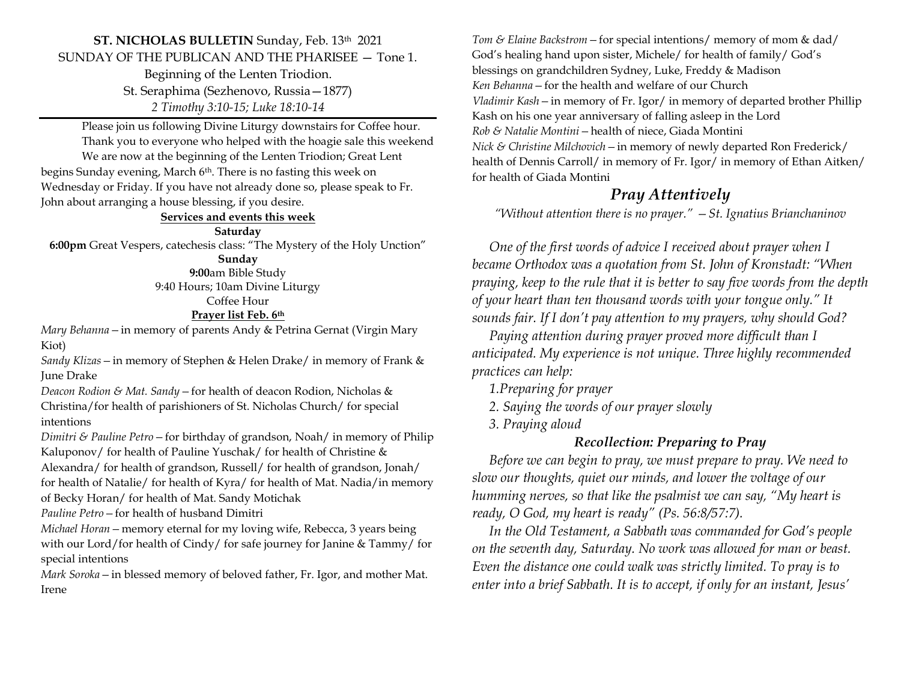#### **ST. NICHOLAS BULLETIN** Sunday, Feb. 13th 2021 SUNDAY OF THE PUBLICAN AND THE PHARISEE — Tone 1.

Beginning of the Lenten Triodion. St. Seraphima (Sezhenovo, Russia—1877) *2 Timothy 3:10-15; Luke 18:10-14*

Please join us following Divine Liturgy downstairs for Coffee hour. Thank you to everyone who helped with the hoagie sale this weekend We are now at the beginning of the Lenten Triodion; Great Lent

begins Sunday evening, March 6<sup>th</sup>. There is no fasting this week on Wednesday or Friday. If you have not already done so, please speak to Fr. John about arranging a house blessing, if you desire.

#### **Services and events this week**

#### **Saturday**

**6:00pm** Great Vespers, catechesis class: "The Mystery of the Holy Unction"

### **Sunday**

**9:00**am Bible Study 9:40 Hours; 10am Divine Liturgy

Coffee Hour

#### **Prayer list Feb. 6th**

*Mary Behanna—*in memory of parents Andy & Petrina Gernat (Virgin Mary Kiot)

*Sandy Klizas—*in memory of Stephen & Helen Drake/ in memory of Frank & June Drake

*Deacon Rodion & Mat. Sandy—*for health of deacon Rodion, Nicholas & Christina/for health of parishioners of St. Nicholas Church/ for special intentions

*Dimitri & Pauline Petro—*for birthday of grandson, Noah/ in memory of Philip Kaluponov/ for health of Pauline Yuschak/ for health of Christine & Alexandra/ for health of grandson, Russell/ for health of grandson, Jonah/ for health of Natalie/ for health of Kyra/ for health of Mat. Nadia/in memory of Becky Horan/ for health of Mat. Sandy Motichak

*Pauline Petro—*for health of husband Dimitri

*Michael Horan—*memory eternal for my loving wife, Rebecca, 3 years being with our Lord/for health of Cindy/ for safe journey for Janine & Tammy/ for special intentions

*Mark Soroka—*in blessed memory of beloved father, Fr. Igor, and mother Mat. Irene

*Tom & Elaine Backstrom—*for special intentions/ memory of mom & dad/ God's healing hand upon sister, Michele/ for health of family/ God's blessings on grandchildren Sydney, Luke, Freddy & Madison *Ken Behanna—*for the health and welfare of our Church *Vladimir Kash—*in memory of Fr. Igor/ in memory of departed brother Phillip Kash on his one year anniversary of falling asleep in the Lord *Rob & Natalie Montini—*health of niece, Giada Montini *Nick & Christine Milchovich—*in memory of newly departed Ron Frederick/ health of Dennis Carroll/ in memory of Fr. Igor/ in memory of Ethan Aitken/ for health of Giada Montini

## *Pray Attentively*

*"Without attention there is no prayer." —St. Ignatius Brianchaninov*

 *One of the first words of advice I received about prayer when I became Orthodox was a quotation from St. John of Kronstadt: "When praying, keep to the rule that it is better to say five words from the depth of your heart than ten thousand words with your tongue only." It sounds fair. If I don't pay attention to my prayers, why should God?* 

 *Paying attention during prayer proved more difficult than I anticipated. My experience is not unique. Three highly recommended practices can help:* 

 *1.Preparing for prayer* 

 *2. Saying the words of our prayer slowly* 

 *3. Praying aloud* 

#### *Recollection: Preparing to Pray*

 *Before we can begin to pray, we must prepare to pray. We need to slow our thoughts, quiet our minds, and lower the voltage of our humming nerves, so that like the psalmist we can say, "My heart is ready, O God, my heart is ready" (Ps. 56:8/57:7).* 

 *In the Old Testament, a Sabbath was commanded for God's people on the seventh day, Saturday. No work was allowed for man or beast. Even the distance one could walk was strictly limited. To pray is to enter into a brief Sabbath. It is to accept, if only for an instant, Jesus'*